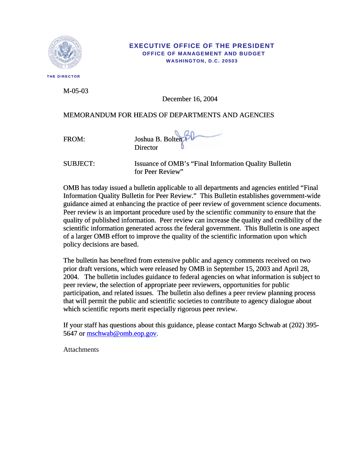

**THE DIRECTOR** 

#### **EXECUTIVE OFFICE OF THE PRESIDENT OFFICE OF MANAGEMENT AND BUDGET WASHINGTON, D.C. 20503**

M-05-03

December 16, 2004

# MEMORANDUM FOR HEADS OF DEPARTMENTS AND AGENCIES

FROM: Joshua B. Bolten **Director** 

SUBJECT: Issuance of OMB's "Final Information Quality Bulletin for Peer Review"

OMB has today issued a bulletin applicable to all departments and agencies entitled "Final Information Quality Bulletin for Peer Review." This Bulletin establishes government-wide guidance aimed at enhancing the practice of peer review of government science documents. Peer review is an important procedure used by the scientific community to ensure that the quality of published information. Peer review can increase the quality and credibility of the scientific information generated across the federal government. This Bulletin is one aspect of a larger OMB effort to improve the quality of the scientific information upon which policy decisions are based.

The bulletin has benefited from extensive public and agency comments received on two prior draft versions, which were released by OMB in September 15, 2003 and April 28, 2004. The bulletin includes guidance to federal agencies on what information is subject to peer review, the selection of appropriate peer reviewers, opportunities for public participation, and related issues. The bulletin also defines a peer review planning process that will permit the public and scientific societies to contribute to agency dialogue about which scientific reports merit especially rigorous peer review.

[If your staff has questions about this guidance, please contact Margo Schwab at \(202\) 395-](mailto:mschwab@omb.eop.gov) [5647 or mschwab@omb.eop.gov](mailto:mschwab@omb.eop.gov).

**Attachments**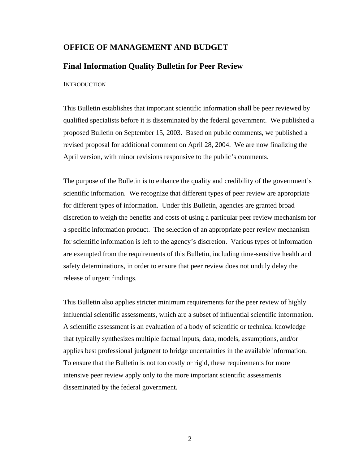# **OFFICE OF MANAGEMENT AND BUDGET**

# **Final Information Quality Bulletin for Peer Review**

**INTRODUCTION** 

This Bulletin establishes that important scientific information shall be peer reviewed by qualified specialists before it is disseminated by the federal government. We published a proposed Bulletin on September 15, 2003. Based on public comments, we published a revised proposal for additional comment on April 28, 2004. We are now finalizing the April version, with minor revisions responsive to the public's comments.

The purpose of the Bulletin is to enhance the quality and credibility of the government's scientific information. We recognize that different types of peer review are appropriate for different types of information. Under this Bulletin, agencies are granted broad discretion to weigh the benefits and costs of using a particular peer review mechanism for a specific information product. The selection of an appropriate peer review mechanism for scientific information is left to the agency's discretion. Various types of information are exempted from the requirements of this Bulletin, including time-sensitive health and safety determinations, in order to ensure that peer review does not unduly delay the release of urgent findings.

This Bulletin also applies stricter minimum requirements for the peer review of highly influential scientific assessments, which are a subset of influential scientific information. A scientific assessment is an evaluation of a body of scientific or technical knowledge that typically synthesizes multiple factual inputs, data, models, assumptions, and/or applies best professional judgment to bridge uncertainties in the available information. To ensure that the Bulletin is not too costly or rigid, these requirements for more intensive peer review apply only to the more important scientific assessments disseminated by the federal government.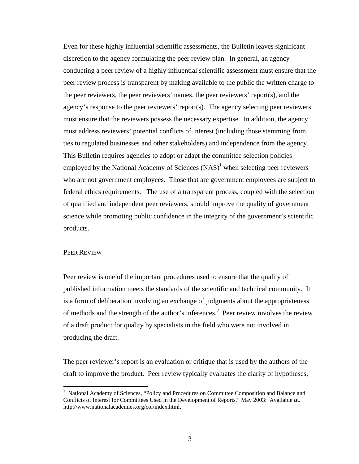Even for these highly influential scientific assessments, the Bulletin leaves significant discretion to the agency formulating the peer review plan. In general, an agency conducting a peer review of a highly influential scientific assessment must ensure that the peer review process is transparent by making available to the public the written charge to the peer reviewers, the peer reviewers' names, the peer reviewers' report(s), and the agency's response to the peer reviewers' report(s). The agency selecting peer reviewers must ensure that the reviewers possess the necessary expertise. In addition, the agency must address reviewers' potential conflicts of interest (including those stemming from ties to regulated businesses and other stakeholders) and independence from the agency. This Bulletin requires agencies to adopt or adapt the committee selection policies employed by the National Academy of Sciences  $(NAS)^1$  when selecting peer reviewers who are not government employees. Those that are government employees are subject to federal ethics requirements. The use of a transparent process, coupled with the selection of qualified and independent peer reviewers, should improve the quality of government science while promoting public confidence in the integrity of the government's scientific products.

## PEER REVIEW

Peer review is one of the important procedures used to ensure that the quality of published information meets the standards of the scientific and technical community. It is a form of deliberation involving an exchange of judgments about the appropriateness of methods and the strength of the author's inferences.<sup>[2](#page-2-1)</sup> Peer review involves the review of a draft product for quality by specialists in the field who were not involved in producing the draft.

The peer reviewer's report is an evaluation or critique that is used by the authors of the draft to improve the product. Peer review typically evaluates the clarity of hypotheses,

<span id="page-2-1"></span><span id="page-2-0"></span> $\frac{1}{1}$ <sup>1</sup> National Academy of Sciences, "Policy and Procedures on Committee Composition and Balance and Conflicts of Interest for Committees Used in the Development of Reports," May 2003: Available at: http://www.nationalacademies.org/coi/index.html.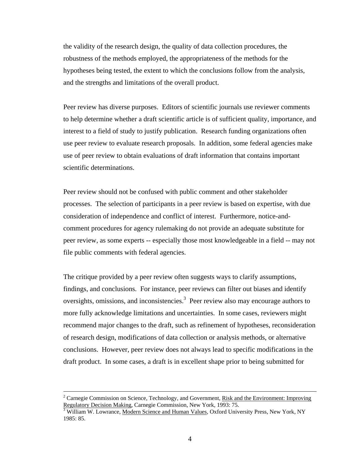the validity of the research design, the quality of data collection procedures, the robustness of the methods employed, the appropriateness of the methods for the hypotheses being tested, the extent to which the conclusions follow from the analysis, and the strengths and limitations of the overall product.

Peer review has diverse purposes. Editors of scientific journals use reviewer comments to help determine whether a draft scientific article is of sufficient quality, importance, and interest to a field of study to justify publication. Research funding organizations often use peer review to evaluate research proposals. In addition, some federal agencies make use of peer review to obtain evaluations of draft information that contains important scientific determinations.

Peer review should not be confused with public comment and other stakeholder processes. The selection of participants in a peer review is based on expertise, with due consideration of independence and conflict of interest. Furthermore, notice-andcomment procedures for agency rulemaking do not provide an adequate substitute for peer review, as some experts -- especially those most knowledgeable in a field -- may not file public comments with federal agencies.

The critique provided by a peer review often suggests ways to clarify assumptions, findings, and conclusions. For instance, peer reviews can filter out biases and identify oversights, omissions, and inconsistencies.<sup>[3](#page-3-0)</sup> Peer review also may encourage authors to more fully acknowledge limitations and uncertainties. In some cases, reviewers might recommend major changes to the draft, such as refinement of hypotheses, reconsideration of research design, modifications of data collection or analysis methods, or alternative conclusions. However, peer review does not always lead to specific modifications in the draft product. In some cases, a draft is in excellent shape prior to being submitted for

 $\frac{1}{2}$ <sup>2</sup> Carnegie Commission on Science, Technology, and Government, Risk and the Environment: Improving Regulatory Decision Making, Carnegie Commission, New York, 1993: 75.

<span id="page-3-0"></span> $\frac{1}{3}$  William W. Lowrance, Modern Science and Human Values, Oxford University Press, New York, NY 1985: 85.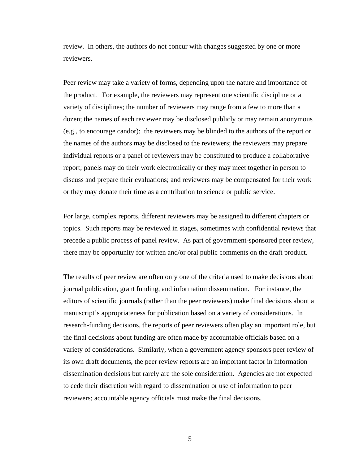review. In others, the authors do not concur with changes suggested by one or more reviewers.

Peer review may take a variety of forms, depending upon the nature and importance of the product. For example, the reviewers may represent one scientific discipline or a variety of disciplines; the number of reviewers may range from a few to more than a dozen; the names of each reviewer may be disclosed publicly or may remain anonymous (e.g., to encourage candor); the reviewers may be blinded to the authors of the report or the names of the authors may be disclosed to the reviewers; the reviewers may prepare individual reports or a panel of reviewers may be constituted to produce a collaborative report; panels may do their work electronically or they may meet together in person to discuss and prepare their evaluations; and reviewers may be compensated for their work or they may donate their time as a contribution to science or public service.

For large, complex reports, different reviewers may be assigned to different chapters or topics. Such reports may be reviewed in stages, sometimes with confidential reviews that precede a public process of panel review. As part of government-sponsored peer review, there may be opportunity for written and/or oral public comments on the draft product.

The results of peer review are often only one of the criteria used to make decisions about journal publication, grant funding, and information dissemination. For instance, the editors of scientific journals (rather than the peer reviewers) make final decisions about a manuscript's appropriateness for publication based on a variety of considerations. In research-funding decisions, the reports of peer reviewers often play an important role, but the final decisions about funding are often made by accountable officials based on a variety of considerations. Similarly, when a government agency sponsors peer review of its own draft documents, the peer review reports are an important factor in information dissemination decisions but rarely are the sole consideration. Agencies are not expected to cede their discretion with regard to dissemination or use of information to peer reviewers; accountable agency officials must make the final decisions.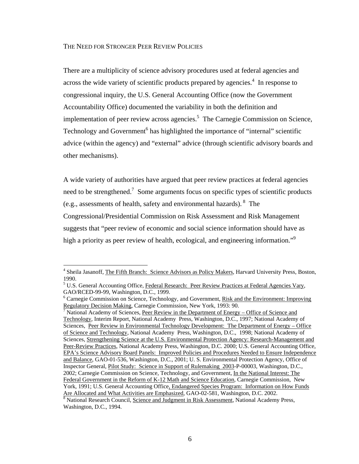#### THE NEED FOR STRONGER PEER REVIEW POLICIES

There are a multiplicity of science advisory procedures used at federal agencies and across the wide variety of scientific products prepared by agencies. $4$  In response to congressional inquiry, the U.S. General Accounting Office (now the Government Accountability Office) documented the variability in both the definition and implementation of peer review across agencies.<sup>[5](#page-5-1)</sup> The Carnegie Commission on Science, Technology and Government<sup>6</sup> [h](#page-5-2)as highlighted the importance of "internal" scientific advice (within the agency) and "external" advice (through scientific advisory boards and other mechanisms).

A wide variety of authorities have argued that peer review practices at federal agencies need to be strengthened.<sup>[7](#page-5-3)</sup> Some arguments focus on specific types of scientific products (e.g., assessments of health, safety and environmental hazards). [8](#page-5-4) The Congressional/Presidential Commission on Risk Assessment and Risk Management suggests that "peer review of economic and social science information should have as higha priority as peer review of health, ecological, and engineering information."<sup>9</sup>

<span id="page-5-0"></span> $\frac{1}{4}$ <sup>4</sup> Sheila Jasanoff, The Fifth Branch: Science Advisors as Policy Makers, Harvard University Press, Boston, 1990.<br><sup>5</sup> U.S. General Accounting Office, Federal Research: Peer Review Practices at Federal Agencies Vary,

<span id="page-5-1"></span>GAO/RCED-99-99, Washington, D.C., 1999. 6

<span id="page-5-2"></span> $6$  Carnegie Commission on Science, Technology, and Government, Risk and the Environment: Improving Regulatory Decision Making, Carnegie Commission, New York, 1993: 90.

<span id="page-5-5"></span><span id="page-5-4"></span><span id="page-5-3"></span> $\sqrt{7}$  National Academy of Sciences, Peer Review in the Department of Energy – Office of Science and Technology, Interim Report, National Academy Press, Washington, D.C., 1997; National Academy of Sciences, Peer Review in Environmental Technology Development: The Department of Energy – Office of Science and Technology, National Academy Press, Washington, D.C., 1998; National Academy of Sciences, Strengthening Science at the U.S. Environmental Protection Agency: Research-Management and Peer-Review Practices, National Academy Press, Washington, D.C. 2000; U.S. General Accounting Office, EPA's Science Advisory Board Panels: Improved Policies and Procedures Needed to Ensure Independence and Balance, GAO-01-536, Washington, D.C., 2001; U. S. Environmental Protection Agency, Office of Inspector General, Pilot Study: Science in Support of Rulemaking 2003-P-00003, Washington, D.C., 2002; Carnegie Commission on Science, Technology, and Government, In the National Interest: The Federal Government in the Reform of K-12 Math and Science Education, Carnegie Commission, New York, 1991; U.S. General Accounting Office, Endangered Species Program: Information on How Funds Are Allocated and What Activities are Emphasized, GAO-02-581, Washington, D.C. 2002. <sup>8</sup> National Research Council, Science and Judgment in Risk Assessment, National Academy Press, Washington, D.C., 1994.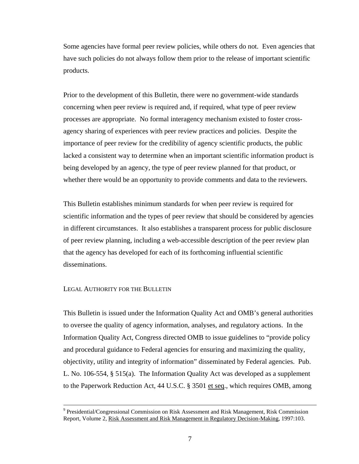Some agencies have formal peer review policies, while others do not. Even agencies that have such policies do not always follow them prior to the release of important scientific products.

Prior to the development of this Bulletin, there were no government-wide standards concerning when peer review is required and, if required, what type of peer review processes are appropriate. No formal interagency mechanism existed to foster crossagency sharing of experiences with peer review practices and policies. Despite the importance of peer review for the credibility of agency scientific products, the public lacked a consistent way to determine when an important scientific information product is being developed by an agency, the type of peer review planned for that product, or whether there would be an opportunity to provide comments and data to the reviewers.

This Bulletin establishes minimum standards for when peer review is required for scientific information and the types of peer review that should be considered by agencies in different circumstances. It also establishes a transparent process for public disclosure of peer review planning, including a web-accessible description of the peer review plan that the agency has developed for each of its forthcoming influential scientific disseminations.

#### LEGAL AUTHORITY FOR THE BULLETIN

This Bulletin is issued under the Information Quality Act and OMB's general authorities to oversee the quality of agency information, analyses, and regulatory actions. In the Information Quality Act, Congress directed OMB to issue guidelines to "provide policy and procedural guidance to Federal agencies for ensuring and maximizing the quality, objectivity, utility and integrity of information" disseminated by Federal agencies. Pub. L. No. 106-554, § 515(a). The Information Quality Act was developed as a supplement to the Paperwork Reduction Act, 44 U.S.C. § 3501 et seq., which requires OMB, among

<sup>-&</sup>lt;br>9 <sup>9</sup> Presidential/Congressional Commission on Risk Assessment and Risk Management, Risk Commission Report, Volume 2, Risk Assessment and Risk Management in Regulatory Decision-Making, 1997:103.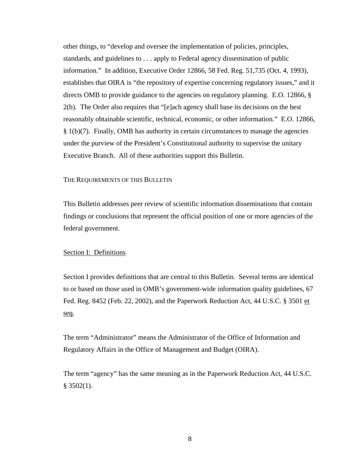other things, to "develop and oversee the implementation of policies, principles, standards, and guidelines to . . . apply to Federal agency dissemination of public information." In addition, Executive Order 12866, 58 Fed. Reg. 51,735 (Oct. 4, 1993), establishes that OIRA is "the repository of expertise concerning regulatory issues," and it directs OMB to provide guidance to the agencies on regulatory planning. E.O. 12866, § 2(b). The Order also requires that "[e]ach agency shall base its decisions on the best reasonably obtainable scientific, technical, economic, or other information." E.O. 12866, § 1(b)(7). Finally, OMB has authority in certain circumstances to manage the agencies under the purview of the President's Constitutional authority to supervise the unitary Executive Branch. All of these authorities support this Bulletin.

#### THE REQUIREMENTS OF THIS BULLETIN

This Bulletin addresses peer review of scientific information disseminations that contain findings or conclusions that represent the official position of one or more agencies of the federal government.

## Section I: Definitions

Section I provides definitions that are central to this Bulletin. Several terms are identical to or based on those used in OMB's government-wide information quality guidelines, 67 Fed. Reg. 8452 (Feb. 22, 2002), and the Paperwork Reduction Act, 44 U.S.C. § 3501 et seq.

The term "Administrator" means the Administrator of the Office of Information and Regulatory Affairs in the Office of Management and Budget (OIRA).

The term "agency" has the same meaning as in the Paperwork Reduction Act, 44 U.S.C.  $§$  3502(1).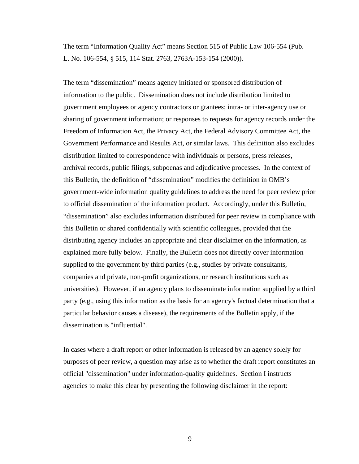The term "Information Quality Act" means Section 515 of Public Law 106-554 (Pub. L. No. 106-554, § 515, 114 Stat. 2763, 2763A-153-154 (2000)).

The term "dissemination" means agency initiated or sponsored distribution of information to the public. Dissemination does not include distribution limited to government employees or agency contractors or grantees; intra- or inter-agency use or sharing of government information; or responses to requests for agency records under the Freedom of Information Act, the Privacy Act, the Federal Advisory Committee Act, the Government Performance and Results Act, or similar laws. This definition also excludes distribution limited to correspondence with individuals or persons, press releases, archival records, public filings, subpoenas and adjudicative processes. In the context of this Bulletin, the definition of "dissemination" modifies the definition in OMB's government-wide information quality guidelines to address the need for peer review prior to official dissemination of the information product. Accordingly, under this Bulletin, "dissemination" also excludes information distributed for peer review in compliance with this Bulletin or shared confidentially with scientific colleagues, provided that the distributing agency includes an appropriate and clear disclaimer on the information, as explained more fully below. Finally, the Bulletin does not directly cover information supplied to the government by third parties (e.g., studies by private consultants, companies and private, non-profit organizations, or research institutions such as universities). However, if an agency plans to disseminate information supplied by a third party (e.g., using this information as the basis for an agency's factual determination that a particular behavior causes a disease), the requirements of the Bulletin apply, if the dissemination is "influential".

In cases where a draft report or other information is released by an agency solely for purposes of peer review, a question may arise as to whether the draft report constitutes an official "dissemination" under information-quality guidelines. Section I instructs agencies to make this clear by presenting the following disclaimer in the report: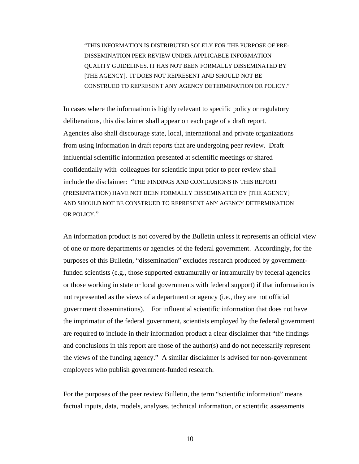"THIS INFORMATION IS DISTRIBUTED SOLELY FOR THE PURPOSE OF PRE-DISSEMINATION PEER REVIEW UNDER APPLICABLE INFORMATION QUALITY GUIDELINES. IT HAS NOT BEEN FORMALLY DISSEMINATED BY [THE AGENCY]. IT DOES NOT REPRESENT AND SHOULD NOT BE CONSTRUED TO REPRESENT ANY AGENCY DETERMINATION OR POLICY."

In cases where the information is highly relevant to specific policy or regulatory deliberations, this disclaimer shall appear on each page of a draft report. Agencies also shall discourage state, local, international and private organizations from using information in draft reports that are undergoing peer review. Draft influential scientific information presented at scientific meetings or shared confidentially with colleagues for scientific input prior to peer review shall include the disclaimer: "THE FINDINGS AND CONCLUSIONS IN THIS REPORT (PRESENTATION) HAVE NOT BEEN FORMALLY DISSEMINATED BY [THE AGENCY] AND SHOULD NOT BE CONSTRUED TO REPRESENT ANY AGENCY DETERMINATION OR POLICY"

An information product is not covered by the Bulletin unless it represents an official view of one or more departments or agencies of the federal government. Accordingly, for the purposes of this Bulletin, "dissemination" excludes research produced by governmentfunded scientists (e.g., those supported extramurally or intramurally by federal agencies or those working in state or local governments with federal support) if that information is not represented as the views of a department or agency (i.e., they are not official government disseminations). For influential scientific information that does not have the imprimatur of the federal government, scientists employed by the federal government are required to include in their information product a clear disclaimer that "the findings and conclusions in this report are those of the author(s) and do not necessarily represent the views of the funding agency." A similar disclaimer is advised for non-government employees who publish government-funded research.

For the purposes of the peer review Bulletin, the term "scientific information" means factual inputs, data, models, analyses, technical information, or scientific assessments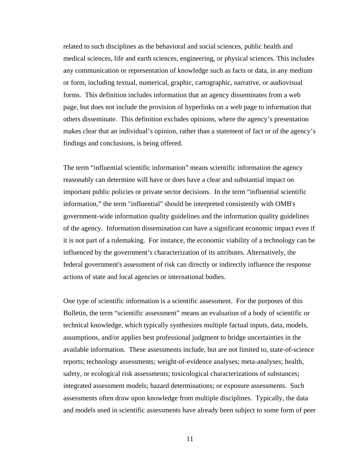related to such disciplines as the behavioral and social sciences, public health and medical sciences, life and earth sciences, engineering, or physical sciences. This includes any communication or representation of knowledge such as facts or data, in any medium or form, including textual, numerical, graphic, cartographic, narrative, or audiovisual forms. This definition includes information that an agency disseminates from a web page, but does not include the provision of hyperlinks on a web page to information that others disseminate. This definition excludes opinions, where the agency's presentation makes clear that an individual's opinion, rather than a statement of fact or of the agency's findings and conclusions, is being offered.

The term "influential scientific information" means scientific information the agency reasonably can determine will have or does have a clear and substantial impact on important public policies or private sector decisions. In the term "influential scientific information," the term "influential" should be interpreted consistently with OMB's government-wide information quality guidelines and the information quality guidelines of the agency. Information dissemination can have a significant economic impact even if it is not part of a rulemaking. For instance, the economic viability of a technology can be influenced by the government's characterization of its attributes. Alternatively, the federal government's assessment of risk can directly or indirectly influence the response actions of state and local agencies or international bodies.

One type of scientific information is a scientific assessment. For the purposes of this Bulletin, the term "scientific assessment" means an evaluation of a body of scientific or technical knowledge, which typically synthesizes multiple factual inputs, data, models, assumptions, and/or applies best professional judgment to bridge uncertainties in the available information. These assessments include, but are not limited to, state-of-science reports; technology assessments; weight-of-evidence analyses; meta-analyses; health, safety, or ecological risk assessments; toxicological characterizations of substances; integrated assessment models; hazard determinations; or exposure assessments. Such assessments often draw upon knowledge from multiple disciplines. Typically, the data and models used in scientific assessments have already been subject to some form of peer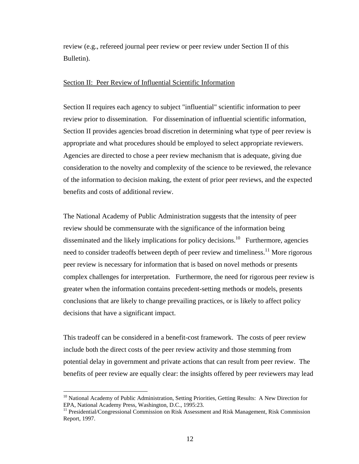review (e.g., refereed journal peer review or peer review under Section II of this Bulletin).

## Section II: Peer Review of Influential Scientific Information

Section II requires each agency to subject "influential" scientific information to peer review prior to dissemination. For dissemination of influential scientific information, Section II provides agencies broad discretion in determining what type of peer review is appropriate and what procedures should be employed to select appropriate reviewers. Agencies are directed to chose a peer review mechanism that is adequate, giving due consideration to the novelty and complexity of the science to be reviewed, the relevance of the information to decision making, the extent of prior peer reviews, and the expected benefits and costs of additional review.

The National Academy of Public Administration suggests that the intensity of peer review should be commensurate with the significance of the information being disseminated and the likely implications for policy decisions.<sup>10</sup> Furthermore, agencies need to consider tradeoffs between depth of peer review and timeliness.<sup>11</sup> More rigorous peer review is necessary for information that is based on novel methods or presents complex challenges for interpretation. Furthermore, the need for rigorous peer review is greater when the information contains precedent-setting methods or models, presents conclusions that are likely to change prevailing practices, or is likely to affect policy decisions that have a significant impact.

This tradeoff can be considered in a benefit-cost framework. The costs of peer review include both the direct costs of the peer review activity and those stemming from potential delay in government and private actions that can result from peer review. The benefits of peer review are equally clear: the insights offered by peer reviewers may lead

<span id="page-11-0"></span><sup>&</sup>lt;sup>10</sup> National Academy of Public Administration, Setting Priorities, Getting Results: A New Direction for EPA, National Academy Press, Washington, D.C., 1995:23.

<span id="page-11-1"></span><sup>&</sup>lt;sup>11</sup> Presidential/Congressional Commission on Risk Assessment and Risk Management, Risk Commission Report, 1997.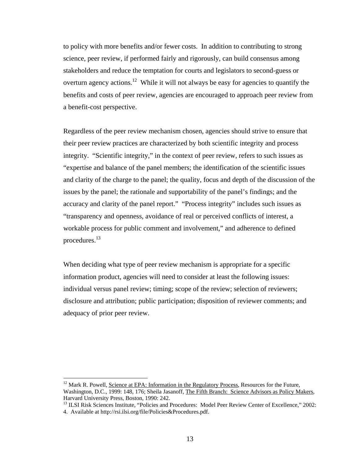to policy with more benefits and/or fewer costs. In addition to contributing to strong science, peer review, if performed fairly and rigorously, can build consensus among stakeholders and reduce the temptation for courts and legislators to second-guess or overturn agency actions.<sup>12</sup> While it will not always be easy for agencies to quantify the benefits and costs of peer review, agencies are encouraged to approach peer review from a benefit-cost perspective.

Regardless of the peer review mechanism chosen, agencies should strive to ensure that their peer review practices are characterized by both scientific integrity and process integrity. "Scientific integrity," in the context of peer review, refers to such issues as "expertise and balance of the panel members; the identification of the scientific issues and clarity of the charge to the panel; the quality, focus and depth of the discussion of the issues by the panel; the rationale and supportability of the panel's findings; and the accuracy and clarity of the panel report." "Process integrity" includes such issues as "transparency and openness, avoidance of real or perceived conflicts of interest, a workable process for public comment and involvement," and adherence to defined procedures.[13](#page-12-1) 

When deciding what type of peer review mechanism is appropriate for a specific information product, agencies will need to consider at least the following issues: individual versus panel review; timing; scope of the review; selection of reviewers; disclosure and attribution; public participation; disposition of reviewer comments; and adequacy of prior peer review.

<span id="page-12-0"></span> $12$  Mark R. Powell, Science at EPA: Information in the Regulatory Process, Resources for the Future, Washington, D.C., 1999: 148, 176; Sheila Jasanoff, The Fifth Branch: Science Advisors as Policy Makers, Harvard University Press, Boston, 1990: 242.<br><sup>13</sup> ILSI Risk Sciences Institute, "Policies and Procedures: Model Peer Review Center of Excellence," 2002:

<span id="page-12-1"></span><sup>4.</sup> Available at http://rsi.ilsi.org/file/Policies&Procedures.pdf.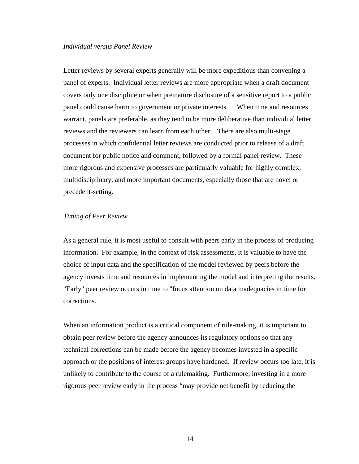#### *Individual versus Panel Review*

Letter reviews by several experts generally will be more expeditious than convening a panel of experts. Individual letter reviews are more appropriate when a draft document covers only one discipline or when premature disclosure of a sensitive report to a public panel could cause harm to government or private interests. When time and resources warrant, panels are preferable, as they tend to be more deliberative than individual letter reviews and the reviewers can learn from each other. There are also multi-stage processes in which confidential letter reviews are conducted prior to release of a draft document for public notice and comment, followed by a formal panel review. These more rigorous and expensive processes are particularly valuable for highly complex, multidisciplinary, and more important documents, especially those that are novel or precedent-setting.

## *Timing of Peer Review*

As a general rule, it is most useful to consult with peers early in the process of producing information. For example, in the context of risk assessments, it is valuable to have the choice of input data and the specification of the model reviewed by peers before the agency invests time and resources in implementing the model and interpreting the results. "Early" peer review occurs in time to "focus attention on data inadequacies in time for corrections.

When an information product is a critical component of rule-making, it is important to obtain peer review before the agency announces its regulatory options so that any technical corrections can be made before the agency becomes invested in a specific approach or the positions of interest groups have hardened. If review occurs too late, it is unlikely to contribute to the course of a rulemaking. Furthermore, investing in a more rigorous peer review early in the process "may provide net benefit by reducing the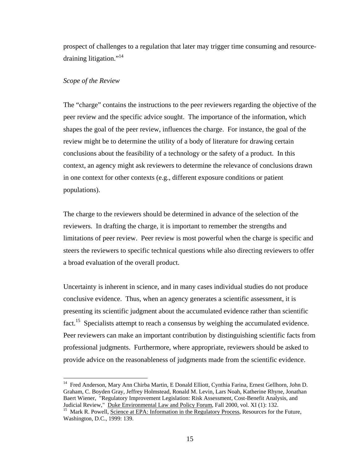prospect of challenges to a regulation that later may trigger time consuming and resourcedraining litigation."<sup>14</sup>

## *Scope of the Review*

The "charge" contains the instructions to the peer reviewers regarding the objective of the peer review and the specific advice sought. The importance of the information, which shapes the goal of the peer review, influences the charge. For instance, the goal of the review might be to determine the utility of a body of literature for drawing certain conclusions about the feasibility of a technology or the safety of a product. In this context, an agency might ask reviewers to determine the relevance of conclusions drawn in one context for other contexts (e.g., different exposure conditions or patient populations).

The charge to the reviewers should be determined in advance of the selection of the reviewers. In drafting the charge, it is important to remember the strengths and limitations of peer review. Peer review is most powerful when the charge is specific and steers the reviewers to specific technical questions while also directing reviewers to offer a broad evaluation of the overall product.

Uncertainty is inherent in science, and in many cases individual studies do not produce conclusive evidence. Thus, when an agency generates a scientific assessment, it is presenting its scientific judgment about the accumulated evidence rather than scientific fact.<sup>15</sup> Specialists attempt to reach a consensus by weighing the accumulated evidence. Peer reviewers can make an important contribution by distinguishing scientific facts from professional judgments. Furthermore, where appropriate, reviewers should be asked to provide advice on the reasonableness of judgments made from the scientific evidence.

<span id="page-14-0"></span><sup>14</sup> Fred Anderson, Mary Ann Chirba Martin, E Donald Elliott, Cynthia Farina, Ernest Gellhorn, John D. Graham, C. Boyden Gray, Jeffrey Holmstead, Ronald M. Levin, Lars Noah, Katherine Rhyne, Jonathan Baert Wiener, "Regulatory Improvement Legislation: Risk Assessment, Cost-Benefit Analysis, and Judicial Review," Duke Environmental Law and Policy Forum, Fall 2000, vol. XI (1): 132.

<span id="page-14-1"></span><sup>&</sup>lt;sup>15</sup> Mark R. Powell, Science at EPA: Information in the Regulatory Process, Resources for the Future, Washington, D.C., 1999: 139.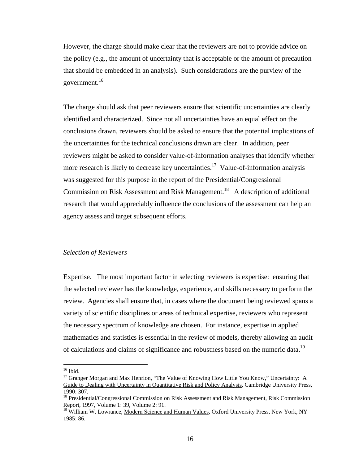However, the charge should make clear that the reviewers are not to provide advice on the policy (e.g., the amount of uncertainty that is acceptable or the amount of precaution that should be embedded in an analysis). Such considerations are the purview of the government.<sup>16</sup>

The charge should ask that peer reviewers ensure that scientific uncertainties are clearly identified and characterized. Since not all uncertainties have an equal effect on the conclusions drawn, reviewers should be asked to ensure that the potential implications of the uncertainties for the technical conclusions drawn are clear. In addition, peer reviewers might be asked to consider value-of-information analyses that identify whether more research is likely to decrease key uncertainties.<sup>17</sup> Value-of-information analysis was suggested for this purpose in the report of the Presidential/Congressional Commission on Risk Assessment and Risk Management.<sup>18</sup> A description of additional research that would appreciably influence the conclusions of the assessment can help an agency assess and target subsequent efforts.

## *Selection of Reviewers*

Expertise. The most important factor in selecting reviewers is expertise: ensuring that the selected reviewer has the knowledge, experience, and skills necessary to perform the review. Agencies shall ensure that, in cases where the document being reviewed spans a variety of scientific disciplines or areas of technical expertise, reviewers who represent the necessary spectrum of knowledge are chosen. For instance, expertise in applied mathematics and statistics is essential in the review of models, thereby allowing an audit of calculations and claims of significance and robustness based on the numeric data.<sup>19</sup>

<span id="page-15-0"></span> $^{16}$  Ibid.

<span id="page-15-1"></span><sup>&</sup>lt;sup>17</sup> Granger Morgan and Max Henrion, "The Value of Knowing How Little You Know," Uncertainty: A Guide to Dealing with Uncertainty in Quantitative Risk and Policy Analysis, Cambridge University Press, 1990: 307.<br><sup>18</sup> Presidential/Congressional Commission on Risk Assessment and Risk Management, Risk Commission

<span id="page-15-2"></span>Report, 1997, Volume 1: 39, Volume 2: 91.<br><sup>19</sup> William W. Lowrance, Modern Science and Human Values, Oxford University Press, New York, NY

<span id="page-15-3"></span><sup>1985: 86.</sup>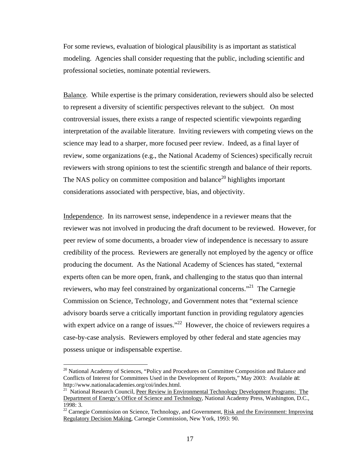For some reviews, evaluation of biological plausibility is as important as statistical modeling. Agencies shall consider requesting that the public, including scientific and professional societies, nominate potential reviewers.

Balance. While expertise is the primary consideration, reviewers should also be selected to represent a diversity of scientific perspectives relevant to the subject. On most controversial issues, there exists a range of respected scientific viewpoints regarding interpretation of the available literature. Inviting reviewers with competing views on the science may lead to a sharper, more focused peer review. Indeed, as a final layer of review, some organizations (e.g., the National Academy of Sciences) specifically recruit reviewers with strong opinions to test the scientific strength and balance of their reports. The NAS policy on committee composition and balance<sup>20</sup> highlights important considerations associated with perspective, bias, and objectivity.

Independence.In its narrowest sense, independence in a reviewer means that the reviewer was not involved in producing the draft document to be reviewed. However, for peer review of some documents, a broader view of independence is necessary to assure credibility of the process. Reviewers are generally not employed by the agency or office producing the document. As the National Academy of Sciences has stated, "external experts often can be more open, frank, and challenging to the status quo than internal reviewers, who may feel constrained by organizational concerns."[21](#page-16-1) The Carnegie Commission on Science, Technology, and Government notes that "external science advisory boards serve a critically important function in providing regulatory agencies with expert advice on a range of issues."<sup>22</sup> However, the choice of reviewers requires a case-by-case analysis. Reviewers employed by other federal and state agencies may possess unique or indispensable expertise.

<span id="page-16-0"></span><sup>&</sup>lt;sup>20</sup> National Academy of Sciences, "Policy and Procedures on Committee Composition and Balance and Conflicts of Interest for Committees Used in the Development of Reports," May 2003: Available at:<br>http://www.nationalacademies.org/coi/index.html.

<span id="page-16-1"></span><sup>&</sup>lt;sup>21</sup> National Research Council, Peer Review in Environmental Technology Development Programs: The Department of Energy's Office of Science and Technology, National Academy Press, Washington, D.C., 1998: 3.<br><sup>22</sup> Carnegie Commission on Science, Technology, and Government, <u>Risk and the Environment: Improving</u>

<span id="page-16-2"></span>Regulatory Decision Making, Carnegie Commission, New York, 1993: 90.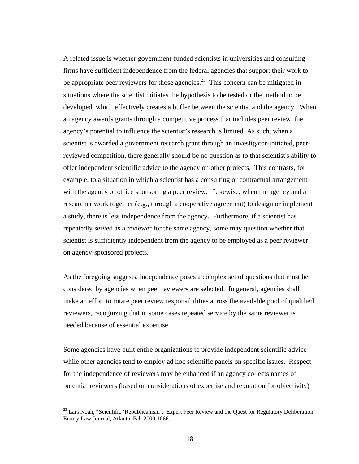A related issue is whether government-funded scientists in universities and consulting firms have sufficient independence from the federal agencies that support their work to be appropriate peer reviewers for those agencies.<sup>23</sup> This concern can be mitigated in situations where the scientist initiates the hypothesis to be tested or the method to be developed, which effectively creates a buffer between the scientist and the agency. When an agency awards grants through a competitive process that includes peer review, the agency's potential to influence the scientist's research is limited. As such, when a scientist is awarded a government research grant through an investigator-initiated, peerreviewed competition, there generally should be no question as to that scientist's ability to offer independent scientific advice to the agency on other projects. This contrasts, for example, to a situation in which a scientist has a consulting or contractual arrangement with the agency or office sponsoring a peer review. Likewise, when the agency and a researcher work together (e.g., through a cooperative agreement) to design or implement a study, there is less independence from the agency. Furthermore, if a scientist has repeatedly served as a reviewer for the same agency, some may question whether that scientist is sufficiently independent from the agency to be employed as a peer reviewer on agency-sponsored projects.

As the foregoing suggests, independence poses a complex set of questions that must be considered by agencies when peer reviewers are selected. In general, agencies shall make an effort to rotate peer review responsibilities across the available pool of qualified reviewers, recognizing that in some cases repeated service by the same reviewer is needed because of essential expertise.

Some agencies have built entire organizations to provide independent scientific advice while other agencies tend to employ ad hoc scientific panels on specific issues. Respect for the independence of reviewers may be enhanced if an agency collects names of potential reviewers (based on considerations of expertise and reputation for objectivity)

<span id="page-17-0"></span><sup>&</sup>lt;sup>23</sup> Lars Noah, "Scientific 'Republicanism': Expert Peer Review and the Quest for Regulatory Deliberation, Emory Law Journal, Atlanta, Fall 2000:1066.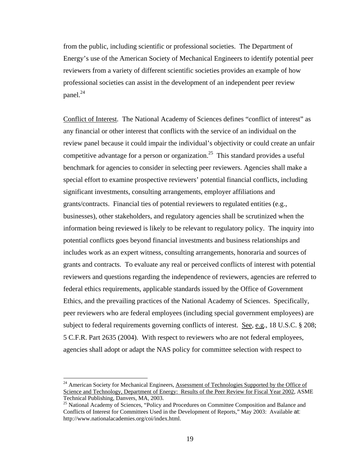from the public, including scientific or professional societies. The Department of Energy's use of the American Society of Mechanical Engineers to identify potential peer reviewers from a variety of different scientific societies provides an example of how professional societies can assist in the development of an independent peer review panel.<sup>24</sup>

Conflict of Interest. The National Academy of Sciences defines "conflict of interest" as any financial or other interest that conflicts with the service of an individual on the review panel because it could impair the individual's objectivity or could create an unfair competitive advantage for a person or organization.<sup>25</sup> This standard provides a useful benchmark for agencies to consider in selecting peer reviewers. Agencies shall make a special effort to examine prospective reviewers' potential financial conflicts, including significant investments, consulting arrangements, employer affiliations and grants/contracts. Financial ties of potential reviewers to regulated entities (e.g., businesses), other stakeholders, and regulatory agencies shall be scrutinized when the information being reviewed is likely to be relevant to regulatory policy. The inquiry into potential conflicts goes beyond financial investments and business relationships and includes work as an expert witness, consulting arrangements, honoraria and sources of grants and contracts. To evaluate any real or perceived conflicts of interest with potential reviewers and questions regarding the independence of reviewers, agencies are referred to federal ethics requirements, applicable standards issued by the Office of Government Ethics, and the prevailing practices of the National Academy of Sciences. Specifically, peer reviewers who are federal employees (including special government employees) are subject to federal requirements governing conflicts of interest. See, e.g., 18 U.S.C. § 208; 5 C.F.R. Part 2635 (2004). With respect to reviewers who are not federal employees, agencies shall adopt or adapt the NAS policy for committee selection with respect to

<span id="page-18-0"></span><sup>&</sup>lt;sup>24</sup> American Society for Mechanical Engineers, Assessment of Technologies Supported by the Office of Science and Technology, Department of Energy: Results of the Peer Review for Fiscal Year 2002, ASME Technical Publishing, Danvers, MA, 2003.

<span id="page-18-1"></span><sup>&</sup>lt;sup>25</sup> National Academy of Sciences, "Policy and Procedures on Committee Composition and Balance and Conflicts of Interest for Committees Used in the Development of Reports," May 2003: Available at: http://www.nationalacademies.org/coi/index.html.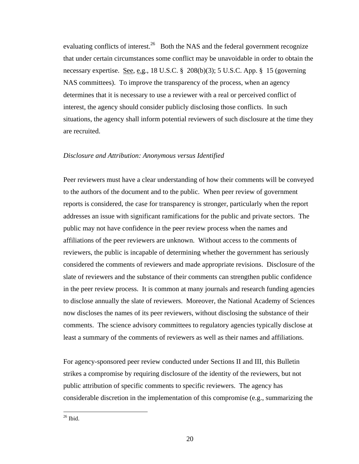evaluating conflicts of interest.<sup>26</sup> Both the NAS and the federal government recognize that under certain circumstances some conflict may be unavoidable in order to obtain the necessary expertise. <u>See, e.g.</u>, 18 U.S.C. § 208(b)(3); 5 U.S.C. App. § 15 (governing NAS committees). To improve the transparency of the process, when an agency determines that it is necessary to use a reviewer with a real or perceived conflict of interest, the agency should consider publicly disclosing those conflicts. In such situations, the agency shall inform potential reviewers of such disclosure at the time they are recruited.

## *Disclosure and Attribution: Anonymous versus Identified*

Peer reviewers must have a clear understanding of how their comments will be conveyed to the authors of the document and to the public. When peer review of government reports is considered, the case for transparency is stronger, particularly when the report addresses an issue with significant ramifications for the public and private sectors. The public may not have confidence in the peer review process when the names and affiliations of the peer reviewers are unknown. Without access to the comments of reviewers, the public is incapable of determining whether the government has seriously considered the comments of reviewers and made appropriate revisions. Disclosure of the slate of reviewers and the substance of their comments can strengthen public confidence in the peer review process. It is common at many journals and research funding agencies to disclose annually the slate of reviewers. Moreover, the National Academy of Sciences now discloses the names of its peer reviewers, without disclosing the substance of their comments. The science advisory committees to regulatory agencies typically disclose at least a summary of the comments of reviewers as well as their names and affiliations.

For agency-sponsored peer review conducted under Sections II and III, this Bulletin strikes a compromise by requiring disclosure of the identity of the reviewers, but not public attribution of specific comments to specific reviewers. The agency has considerable discretion in the implementation of this compromise (e.g., summarizing the

<span id="page-19-0"></span> $\frac{26}{1}$  Ibid.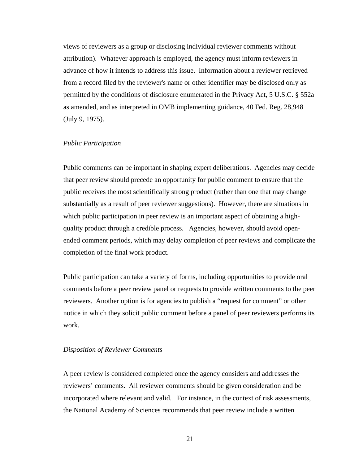views of reviewers as a group or disclosing individual reviewer comments without attribution). Whatever approach is employed, the agency must inform reviewers in advance of how it intends to address this issue. Information about a reviewer retrieved from a record filed by the reviewer's name or other identifier may be disclosed only as permitted by the conditions of disclosure enumerated in the Privacy Act, 5 U.S.C. § 552a as amended, and as interpreted in OMB implementing guidance, 40 Fed. Reg. 28,948 (July 9, 1975).

#### *Public Participation*

Public comments can be important in shaping expert deliberations. Agencies may decide that peer review should precede an opportunity for public comment to ensure that the public receives the most scientifically strong product (rather than one that may change substantially as a result of peer reviewer suggestions). However, there are situations in which public participation in peer review is an important aspect of obtaining a highquality product through a credible process. Agencies, however, should avoid openended comment periods, which may delay completion of peer reviews and complicate the completion of the final work product.

Public participation can take a variety of forms, including opportunities to provide oral comments before a peer review panel or requests to provide written comments to the peer reviewers. Another option is for agencies to publish a "request for comment" or other notice in which they solicit public comment before a panel of peer reviewers performs its work.

#### *Disposition of Reviewer Comments*

A peer review is considered completed once the agency considers and addresses the reviewers' comments. All reviewer comments should be given consideration and be incorporated where relevant and valid. For instance, in the context of risk assessments, the National Academy of Sciences recommends that peer review include a written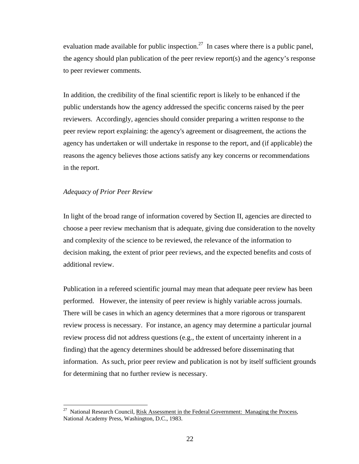evaluation made available for public inspection.<sup>27</sup> In cases where there is a public panel, the agency should plan publication of the peer review report(s) and the agency's response to peer reviewer comments.

In addition, the credibility of the final scientific report is likely to be enhanced if the public understands how the agency addressed the specific concerns raised by the peer reviewers. Accordingly, agencies should consider preparing a written response to the peer review report explaining: the agency's agreement or disagreement, the actions the agency has undertaken or will undertake in response to the report, and (if applicable) the reasons the agency believes those actions satisfy any key concerns or recommendations in the report.

## *Adequacy of Prior Peer Review*

In light of the broad range of information covered by Section II, agencies are directed to choose a peer review mechanism that is adequate, giving due consideration to the novelty and complexity of the science to be reviewed, the relevance of the information to decision making, the extent of prior peer reviews, and the expected benefits and costs of additional review.

Publication in a refereed scientific journal may mean that adequate peer review has been performed. However, the intensity of peer review is highly variable across journals. There will be cases in which an agency determines that a more rigorous or transparent review process is necessary. For instance, an agency may determine a particular journal review process did not address questions (e.g., the extent of uncertainty inherent in a finding) that the agency determines should be addressed before disseminating that information. As such, prior peer review and publication is not by itself sufficient grounds for determining that no further review is necessary.

<span id="page-21-0"></span><sup>&</sup>lt;sup>27</sup> National Research Council, Risk Assessment in the Federal Government: Managing the Process, National Academy Press, Washington, D.C., 1983.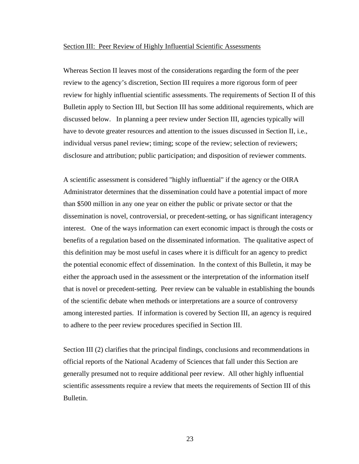#### Section III: Peer Review of Highly Influential Scientific Assessments

Whereas Section II leaves most of the considerations regarding the form of the peer review to the agency's discretion, Section III requires a more rigorous form of peer review for highly influential scientific assessments. The requirements of Section II of this Bulletin apply to Section III, but Section III has some additional requirements, which are discussed below. In planning a peer review under Section III, agencies typically will have to devote greater resources and attention to the issues discussed in Section II, i.e., individual versus panel review; timing; scope of the review; selection of reviewers; disclosure and attribution; public participation; and disposition of reviewer comments.

A scientific assessment is considered "highly influential" if the agency or the OIRA Administrator determines that the dissemination could have a potential impact of more than \$500 million in any one year on either the public or private sector or that the dissemination is novel, controversial, or precedent-setting, or has significant interagency interest. One of the ways information can exert economic impact is through the costs or benefits of a regulation based on the disseminated information. The qualitative aspect of this definition may be most useful in cases where it is difficult for an agency to predict the potential economic effect of dissemination. In the context of this Bulletin, it may be either the approach used in the assessment or the interpretation of the information itself that is novel or precedent-setting. Peer review can be valuable in establishing the bounds of the scientific debate when methods or interpretations are a source of controversy among interested parties. If information is covered by Section III, an agency is required to adhere to the peer review procedures specified in Section III.

Section III (2) clarifies that the principal findings, conclusions and recommendations in official reports of the National Academy of Sciences that fall under this Section are generally presumed not to require additional peer review. All other highly influential scientific assessments require a review that meets the requirements of Section III of this Bulletin.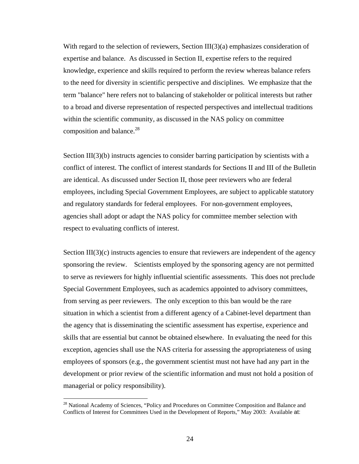With regard to the selection of reviewers, Section  $III(3)(a)$  emphasizes consideration of expertise and balance. As discussed in Section II, expertise refers to the required knowledge, experience and skills required to perform the review whereas balance refers to the need for diversity in scientific perspective and disciplines. We emphasize that the term "balance" here refers not to balancing of stakeholder or political interests but rather to a broad and diverse representation of respected perspectives and intellectual traditions within the scientific community, as discussed in the NAS policy on committee composition and balance. $^{28}$ 

Section III(3)(b) instructs agencies to consider barring participation by scientists with a conflict of interest. The conflict of interest standards for Sections II and III of the Bulletin are identical. As discussed under Section II, those peer reviewers who are federal employees, including Special Government Employees, are subject to applicable statutory and regulatory standards for federal employees. For non-government employees, agencies shall adopt or adapt the NAS policy for committee member selection with respect to evaluating conflicts of interest.

Section  $III(3)(c)$  instructs agencies to ensure that reviewers are independent of the agency sponsoring the review. Scientists employed by the sponsoring agency are not permitted to serve as reviewers for highly influential scientific assessments. This does not preclude Special Government Employees, such as academics appointed to advisory committees, from serving as peer reviewers. The only exception to this ban would be the rare situation in which a scientist from a different agency of a Cabinet-level department than the agency that is disseminating the scientific assessment has expertise, experience and skills that are essential but cannot be obtained elsewhere. In evaluating the need for this exception, agencies shall use the NAS criteria for assessing the appropriateness of using employees of sponsors (e.g., the government scientist must not have had any part in the development or prior review of the scientific information and must not hold a position of managerial or policy responsibility).

<span id="page-23-0"></span><sup>&</sup>lt;sup>28</sup> National Academy of Sciences, "Policy and Procedures on Committee Composition and Balance and Conflicts of Interest for Committees Used in the Development of Reports," May 2003: Available at: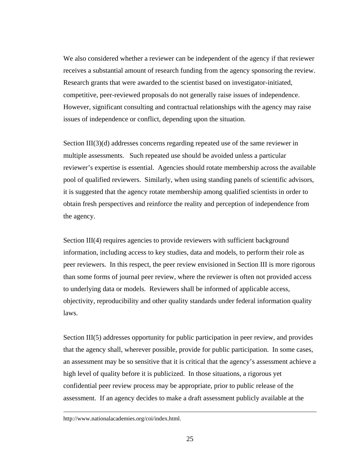We also considered whether a reviewer can be independent of the agency if that reviewer receives a substantial amount of research funding from the agency sponsoring the review. Research grants that were awarded to the scientist based on investigator-initiated, competitive, peer-reviewed proposals do not generally raise issues of independence. However, significant consulting and contractual relationships with the agency may raise issues of independence or conflict, depending upon the situation.

Section III(3)(d) addresses concerns regarding repeated use of the same reviewer in multiple assessments. Such repeated use should be avoided unless a particular reviewer's expertise is essential. Agencies should rotate membership across the available pool of qualified reviewers. Similarly, when using standing panels of scientific advisors, it is suggested that the agency rotate membership among qualified scientists in order to obtain fresh perspectives and reinforce the reality and perception of independence from the agency.

Section III(4) requires agencies to provide reviewers with sufficient background information, including access to key studies, data and models, to perform their role as peer reviewers. In this respect, the peer review envisioned in Section III is more rigorous than some forms of journal peer review, where the reviewer is often not provided access to underlying data or models. Reviewers shall be informed of applicable access, objectivity, reproducibility and other quality standards under federal information quality laws.

Section III(5) addresses opportunity for public participation in peer review, and provides that the agency shall, wherever possible, provide for public participation. In some cases, an assessment may be so sensitive that it is critical that the agency's assessment achieve a high level of quality before it is publicized. In those situations, a rigorous yet confidential peer review process may be appropriate, prior to public release of the assessment. If an agency decides to make a draft assessment publicly available at the

http://www.nationalacademies.org/coi/index.html.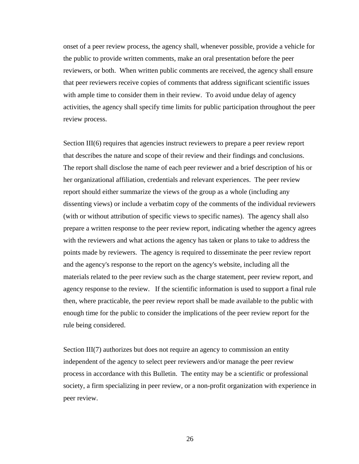onset of a peer review process, the agency shall, whenever possible, provide a vehicle for the public to provide written comments, make an oral presentation before the peer reviewers, or both. When written public comments are received, the agency shall ensure that peer reviewers receive copies of comments that address significant scientific issues with ample time to consider them in their review. To avoid undue delay of agency activities, the agency shall specify time limits for public participation throughout the peer review process.

Section III(6) requires that agencies instruct reviewers to prepare a peer review report that describes the nature and scope of their review and their findings and conclusions. The report shall disclose the name of each peer reviewer and a brief description of his or her organizational affiliation, credentials and relevant experiences. The peer review report should either summarize the views of the group as a whole (including any dissenting views) or include a verbatim copy of the comments of the individual reviewers (with or without attribution of specific views to specific names). The agency shall also prepare a written response to the peer review report, indicating whether the agency agrees with the reviewers and what actions the agency has taken or plans to take to address the points made by reviewers. The agency is required to disseminate the peer review report and the agency's response to the report on the agency's website, including all the materials related to the peer review such as the charge statement, peer review report, and agency response to the review. If the scientific information is used to support a final rule then, where practicable, the peer review report shall be made available to the public with enough time for the public to consider the implications of the peer review report for the rule being considered.

Section III(7) authorizes but does not require an agency to commission an entity independent of the agency to select peer reviewers and/or manage the peer review process in accordance with this Bulletin. The entity may be a scientific or professional society, a firm specializing in peer review, or a non-profit organization with experience in peer review.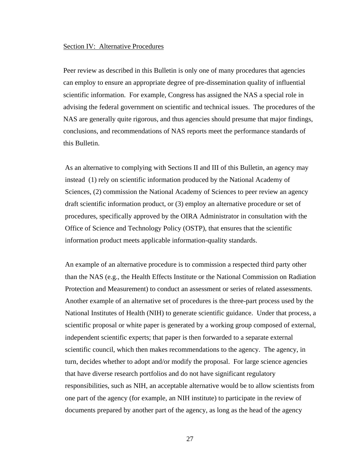#### Section IV: Alternative Procedures

Peer review as described in this Bulletin is only one of many procedures that agencies can employ to ensure an appropriate degree of pre-dissemination quality of influential scientific information. For example, Congress has assigned the NAS a special role in advising the federal government on scientific and technical issues. The procedures of the NAS are generally quite rigorous, and thus agencies should presume that major findings, conclusions, and recommendations of NAS reports meet the performance standards of this Bulletin.

As an alternative to complying with Sections II and III of this Bulletin, an agency may instead (1) rely on scientific information produced by the National Academy of Sciences, (2) commission the National Academy of Sciences to peer review an agency draft scientific information product, or (3) employ an alternative procedure or set of procedures, specifically approved by the OIRA Administrator in consultation with the Office of Science and Technology Policy (OSTP), that ensures that the scientific information product meets applicable information-quality standards.

An example of an alternative procedure is to commission a respected third party other than the NAS (e.g., the Health Effects Institute or the National Commission on Radiation Protection and Measurement) to conduct an assessment or series of related assessments. Another example of an alternative set of procedures is the three-part process used by the National Institutes of Health (NIH) to generate scientific guidance. Under that process, a scientific proposal or white paper is generated by a working group composed of external, independent scientific experts; that paper is then forwarded to a separate external scientific council, which then makes recommendations to the agency. The agency, in turn, decides whether to adopt and/or modify the proposal. For large science agencies that have diverse research portfolios and do not have significant regulatory responsibilities, such as NIH, an acceptable alternative would be to allow scientists from one part of the agency (for example, an NIH institute) to participate in the review of documents prepared by another part of the agency, as long as the head of the agency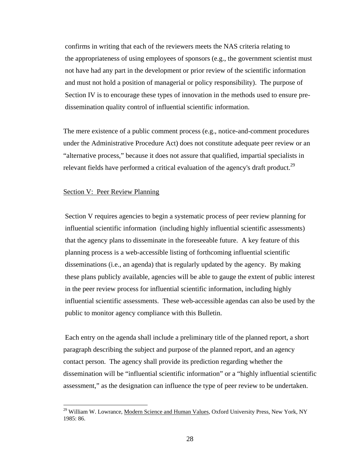confirms in writing that each of the reviewers meets the NAS criteria relating to the appropriateness of using employees of sponsors (e.g., the government scientist must not have had any part in the development or prior review of the scientific information and must not hold a position of managerial or policy responsibility). The purpose of Section IV is to encourage these types of innovation in the methods used to ensure predissemination quality control of influential scientific information.

The mere existence of a public comment process (e.g., notice-and-comment procedures under the Administrative Procedure Act) does not constitute adequate peer review or an "alternative process," because it does not assure that qualified, impartial specialists in relevant fields have performed a critical evaluation of the agency's draft product.<sup>29</sup>

#### Section V: Peer Review Planning

Section V requires agencies to begin a systematic process of peer review planning for influential scientific information (including highly influential scientific assessments) that the agency plans to disseminate in the foreseeable future. A key feature of this planning process is a web-accessible listing of forthcoming influential scientific disseminations (i.e., an agenda) that is regularly updated by the agency. By making these plans publicly available, agencies will be able to gauge the extent of public interest in the peer review process for influential scientific information, including highly influential scientific assessments. These web-accessible agendas can also be used by the public to monitor agency compliance with this Bulletin.

 Each entry on the agenda shall include a preliminary title of the planned report, a short paragraph describing the subject and purpose of the planned report, and an agency contact person. The agency shall provide its prediction regarding whether the dissemination will be "influential scientific information" or a "highly influential scientific assessment," as the designation can influence the type of peer review to be undertaken.

<span id="page-27-0"></span><sup>&</sup>lt;sup>29</sup> William W. Lowrance, Modern Science and Human Values, Oxford University Press, New York, NY 1985: 86.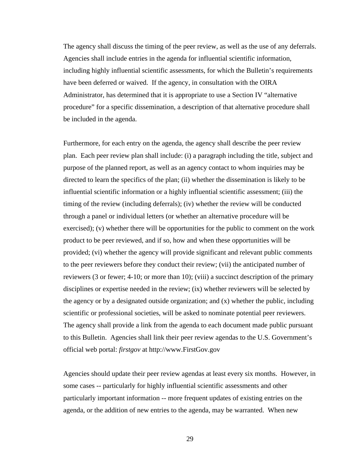The agency shall discuss the timing of the peer review, as well as the use of any deferrals. Agencies shall include entries in the agenda for influential scientific information, including highly influential scientific assessments, for which the Bulletin's requirements have been deferred or waived. If the agency, in consultation with the OIRA Administrator, has determined that it is appropriate to use a Section IV "alternative procedure" for a specific dissemination, a description of that alternative procedure shall be included in the agenda.

Furthermore, for each entry on the agenda, the agency shall describe the peer review plan. Each peer review plan shall include: (i) a paragraph including the title, subject and purpose of the planned report, as well as an agency contact to whom inquiries may be directed to learn the specifics of the plan; (ii) whether the dissemination is likely to be influential scientific information or a highly influential scientific assessment; (iii) the timing of the review (including deferrals); (iv) whether the review will be conducted through a panel or individual letters (or whether an alternative procedure will be exercised); (v) whether there will be opportunities for the public to comment on the work product to be peer reviewed, and if so, how and when these opportunities will be provided; (vi) whether the agency will provide significant and relevant public comments to the peer reviewers before they conduct their review; (vii) the anticipated number of reviewers (3 or fewer; 4-10; or more than 10); (viii) a succinct description of the primary disciplines or expertise needed in the review; (ix) whether reviewers will be selected by the agency or by a designated outside organization; and (x) whether the public, including scientific or professional societies, will be asked to nominate potential peer reviewers. The agency shall provide a link from the agenda to each document made public pursuant to this Bulletin. Agencies shall link their peer review agendas to the U.S. Government's official web portal: *firstgov* at http://www.FirstGov.gov

Agencies should update their peer review agendas at least every six months. However, in some cases -- particularly for highly influential scientific assessments and other particularly important information -- more frequent updates of existing entries on the agenda, or the addition of new entries to the agenda, may be warranted. When new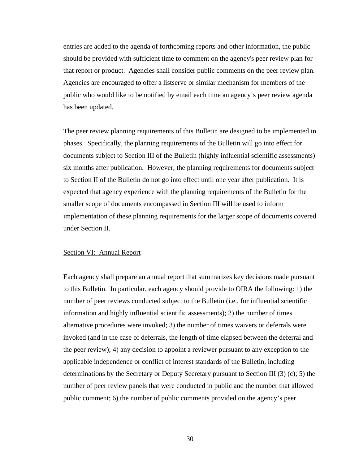entries are added to the agenda of forthcoming reports and other information, the public should be provided with sufficient time to comment on the agency's peer review plan for that report or product. Agencies shall consider public comments on the peer review plan. Agencies are encouraged to offer a listserve or similar mechanism for members of the public who would like to be notified by email each time an agency's peer review agenda has been updated.

The peer review planning requirements of this Bulletin are designed to be implemented in phases. Specifically, the planning requirements of the Bulletin will go into effect for documents subject to Section III of the Bulletin (highly influential scientific assessments) six months after publication. However, the planning requirements for documents subject to Section II of the Bulletin do not go into effect until one year after publication. It is expected that agency experience with the planning requirements of the Bulletin for the smaller scope of documents encompassed in Section III will be used to inform implementation of these planning requirements for the larger scope of documents covered under Section II.

## Section VI: Annual Report

Each agency shall prepare an annual report that summarizes key decisions made pursuant to this Bulletin. In particular, each agency should provide to OIRA the following: 1) the number of peer reviews conducted subject to the Bulletin (i.e., for influential scientific information and highly influential scientific assessments); 2) the number of times alternative procedures were invoked; 3) the number of times waivers or deferrals were invoked (and in the case of deferrals, the length of time elapsed between the deferral and the peer review); 4) any decision to appoint a reviewer pursuant to any exception to the applicable independence or conflict of interest standards of the Bulletin, including determinations by the Secretary or Deputy Secretary pursuant to Section III (3) (c); 5) the number of peer review panels that were conducted in public and the number that allowed public comment; 6) the number of public comments provided on the agency's peer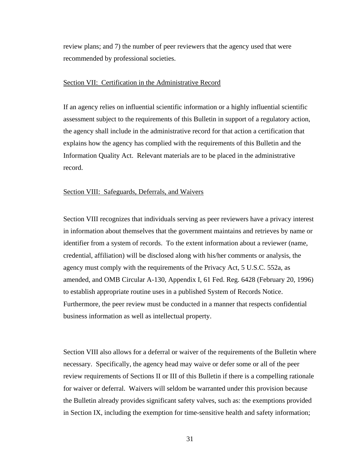review plans; and 7) the number of peer reviewers that the agency used that were recommended by professional societies.

## Section VII: Certification in the Administrative Record

If an agency relies on influential scientific information or a highly influential scientific assessment subject to the requirements of this Bulletin in support of a regulatory action, the agency shall include in the administrative record for that action a certification that explains how the agency has complied with the requirements of this Bulletin and the Information Quality Act. Relevant materials are to be placed in the administrative record.

## Section VIII: Safeguards, Deferrals, and Waivers

Section VIII recognizes that individuals serving as peer reviewers have a privacy interest in information about themselves that the government maintains and retrieves by name or identifier from a system of records. To the extent information about a reviewer (name, credential, affiliation) will be disclosed along with his/her comments or analysis, the agency must comply with the requirements of the Privacy Act, 5 U.S.C. 552a, as amended, and OMB Circular A-130, Appendix I, 61 Fed. Reg. 6428 (February 20, 1996) to establish appropriate routine uses in a published System of Records Notice. Furthermore, the peer review must be conducted in a manner that respects confidential business information as well as intellectual property.

Section VIII also allows for a deferral or waiver of the requirements of the Bulletin where necessary. Specifically, the agency head may waive or defer some or all of the peer review requirements of Sections II or III of this Bulletin if there is a compelling rationale for waiver or deferral. Waivers will seldom be warranted under this provision because the Bulletin already provides significant safety valves, such as: the exemptions provided in Section IX, including the exemption for time-sensitive health and safety information;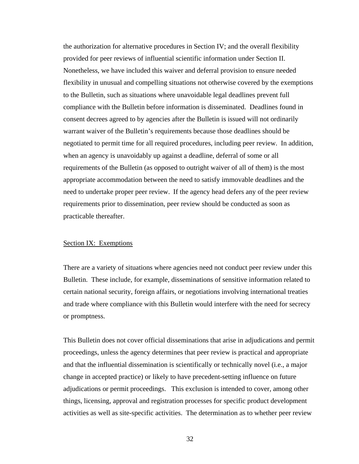the authorization for alternative procedures in Section IV; and the overall flexibility provided for peer reviews of influential scientific information under Section II. Nonetheless, we have included this waiver and deferral provision to ensure needed flexibility in unusual and compelling situations not otherwise covered by the exemptions to the Bulletin, such as situations where unavoidable legal deadlines prevent full compliance with the Bulletin before information is disseminated. Deadlines found in consent decrees agreed to by agencies after the Bulletin is issued will not ordinarily warrant waiver of the Bulletin's requirements because those deadlines should be negotiated to permit time for all required procedures, including peer review. In addition, when an agency is unavoidably up against a deadline, deferral of some or all requirements of the Bulletin (as opposed to outright waiver of all of them) is the most appropriate accommodation between the need to satisfy immovable deadlines and the need to undertake proper peer review. If the agency head defers any of the peer review requirements prior to dissemination, peer review should be conducted as soon as practicable thereafter.

# Section IX: Exemptions

There are a variety of situations where agencies need not conduct peer review under this Bulletin. These include, for example, disseminations of sensitive information related to certain national security, foreign affairs, or negotiations involving international treaties and trade where compliance with this Bulletin would interfere with the need for secrecy or promptness.

This Bulletin does not cover official disseminations that arise in adjudications and permit proceedings, unless the agency determines that peer review is practical and appropriate and that the influential dissemination is scientifically or technically novel (i.e., a major change in accepted practice) or likely to have precedent-setting influence on future adjudications or permit proceedings. This exclusion is intended to cover, among other things, licensing, approval and registration processes for specific product development activities as well as site-specific activities. The determination as to whether peer review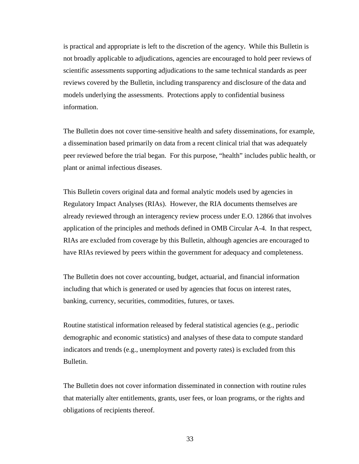is practical and appropriate is left to the discretion of the agency**.** While this Bulletin is not broadly applicable to adjudications, agencies are encouraged to hold peer reviews of scientific assessments supporting adjudications to the same technical standards as peer reviews covered by the Bulletin, including transparency and disclosure of the data and models underlying the assessments. Protections apply to confidential business information.

The Bulletin does not cover time-sensitive health and safety disseminations, for example, a dissemination based primarily on data from a recent clinical trial that was adequately peer reviewed before the trial began. For this purpose, "health" includes public health, or plant or animal infectious diseases.

This Bulletin covers original data and formal analytic models used by agencies in Regulatory Impact Analyses (RIAs). However, the RIA documents themselves are already reviewed through an interagency review process under E.O. 12866 that involves application of the principles and methods defined in OMB Circular A-4. In that respect, RIAs are excluded from coverage by this Bulletin, although agencies are encouraged to have RIAs reviewed by peers within the government for adequacy and completeness.

The Bulletin does not cover accounting, budget, actuarial, and financial information including that which is generated or used by agencies that focus on interest rates, banking, currency, securities, commodities, futures, or taxes.

Routine statistical information released by federal statistical agencies (e.g., periodic demographic and economic statistics) and analyses of these data to compute standard indicators and trends (e.g., unemployment and poverty rates) is excluded from this Bulletin.

The Bulletin does not cover information disseminated in connection with routine rules that materially alter entitlements, grants, user fees, or loan programs, or the rights and obligations of recipients thereof.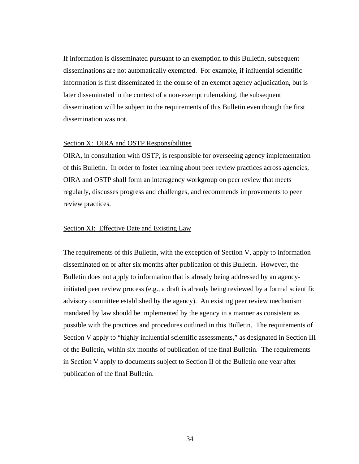If information is disseminated pursuant to an exemption to this Bulletin, subsequent disseminations are not automatically exempted. For example, if influential scientific information is first disseminated in the course of an exempt agency adjudication, but is later disseminated in the context of a non-exempt rulemaking, the subsequent dissemination will be subject to the requirements of this Bulletin even though the first dissemination was not.

#### Section X: OIRA and OSTP Responsibilities

OIRA, in consultation with OSTP, is responsible for overseeing agency implementation of this Bulletin. In order to foster learning about peer review practices across agencies, OIRA and OSTP shall form an interagency workgroup on peer review that meets regularly, discusses progress and challenges, and recommends improvements to peer review practices.

## Section XI: Effective Date and Existing Law

The requirements of this Bulletin, with the exception of Section V, apply to information disseminated on or after six months after publication of this Bulletin. However, the Bulletin does not apply to information that is already being addressed by an agencyinitiated peer review process (e.g., a draft is already being reviewed by a formal scientific advisory committee established by the agency). An existing peer review mechanism mandated by law should be implemented by the agency in a manner as consistent as possible with the practices and procedures outlined in this Bulletin. The requirements of Section V apply to "highly influential scientific assessments," as designated in Section III of the Bulletin, within six months of publication of the final Bulletin. The requirements in Section V apply to documents subject to Section II of the Bulletin one year after publication of the final Bulletin.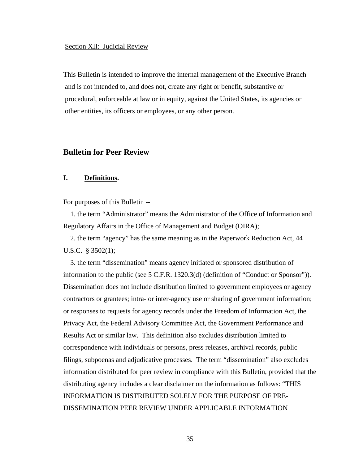#### Section XII: Judicial Review

This Bulletin is intended to improve the internal management of the Executive Branch and is not intended to, and does not, create any right or benefit, substantive or procedural, enforceable at law or in equity, against the United States, its agencies or other entities, its officers or employees, or any other person.

# **Bulletin for Peer Review**

# **I. Definitions.**

For purposes of this Bulletin --

 1. the term "Administrator" means the Administrator of the Office of Information and Regulatory Affairs in the Office of Management and Budget (OIRA);

 2. the term "agency" has the same meaning as in the Paperwork Reduction Act, 44 U.S.C. § 3502(1);

 3. the term "dissemination" means agency initiated or sponsored distribution of information to the public (see 5 C.F.R. 1320.3(d) (definition of "Conduct or Sponsor")). Dissemination does not include distribution limited to government employees or agency contractors or grantees; intra- or inter-agency use or sharing of government information; or responses to requests for agency records under the Freedom of Information Act, the Privacy Act, the Federal Advisory Committee Act, the Government Performance and Results Act or similar law. This definition also excludes distribution limited to correspondence with individuals or persons, press releases, archival records, public filings, subpoenas and adjudicative processes. The term "dissemination" also excludes information distributed for peer review in compliance with this Bulletin, provided that the distributing agency includes a clear disclaimer on the information as follows: "THIS INFORMATION IS DISTRIBUTED SOLELY FOR THE PURPOSE OF PRE-DISSEMINATION PEER REVIEW UNDER APPLICABLE INFORMATION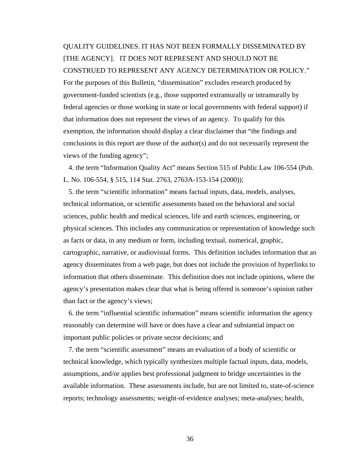QUALITY GUIDELINES. IT HAS NOT BEEN FORMALLY DISSEMINATED BY [THE AGENCY]. IT DOES NOT REPRESENT AND SHOULD NOT BE CONSTRUED TO REPRESENT ANY AGENCY DETERMINATION OR POLICY." For the purposes of this Bulletin, "dissemination" excludes research produced by government-funded scientists (e.g., those supported extramurally or intramurally by federal agencies or those working in state or local governments with federal support) if that information does not represent the views of an agency. To qualify for this exemption, the information should display a clear disclaimer that "the findings and conclusions in this report are those of the author(s) and do not necessarily represent the views of the funding agency";

 4. the term "Information Quality Act" means Section 515 of Public Law 106-554 (Pub. L. No. 106-554, § 515, 114 Stat. 2763, 2763A-153-154 (2000));

 5. the term "scientific information" means factual inputs, data, models, analyses, technical information, or scientific assessments based on the behavioral and social sciences, public health and medical sciences, life and earth sciences, engineering, or physical sciences. This includes any communication or representation of knowledge such as facts or data, in any medium or form, including textual, numerical, graphic, cartographic, narrative, or audiovisual forms. This definition includes information that an agency disseminates from a web page, but does not include the provision of hyperlinks to information that others disseminate. This definition does not include opinions, where the agency's presentation makes clear that what is being offered is someone's opinion rather than fact or the agency's views;

 6. the term "influential scientific information" means scientific information the agency reasonably can determine will have or does have a clear and substantial impact on important public policies or private sector decisions; and

 7. the term "scientific assessment" means an evaluation of a body of scientific or technical knowledge, which typically synthesizes multiple factual inputs, data, models, assumptions, and/or applies best professional judgment to bridge uncertainties in the available information. These assessments include, but are not limited to, state-of-science reports; technology assessments; weight-of-evidence analyses; meta-analyses; health,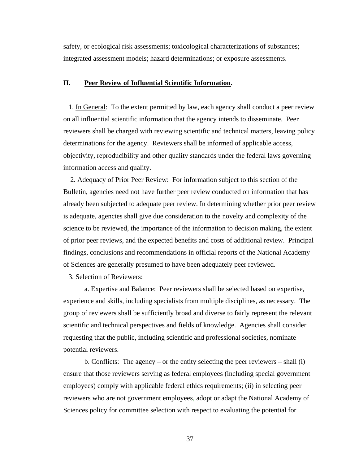safety, or ecological risk assessments; toxicological characterizations of substances; integrated assessment models; hazard determinations; or exposure assessments.

#### **II. Peer Review of Influential Scientific Information.**

 1. In General: To the extent permitted by law, each agency shall conduct a peer review on all influential scientific information that the agency intends to disseminate. Peer reviewers shall be charged with reviewing scientific and technical matters, leaving policy determinations for the agency. Reviewers shall be informed of applicable access, objectivity, reproducibility and other quality standards under the federal laws governing information access and quality.

 2. Adequacy of Prior Peer Review: For information subject to this section of the Bulletin, agencies need not have further peer review conducted on information that has already been subjected to adequate peer review. In determining whether prior peer review is adequate, agencies shall give due consideration to the novelty and complexity of the science to be reviewed, the importance of the information to decision making, the extent of prior peer reviews, and the expected benefits and costs of additional review. Principal findings, conclusions and recommendations in official reports of the National Academy of Sciences are generally presumed to have been adequately peer reviewed.

3. Selection of Reviewers:

a. Expertise and Balance: Peer reviewers shall be selected based on expertise, experience and skills, including specialists from multiple disciplines, as necessary. The group of reviewers shall be sufficiently broad and diverse to fairly represent the relevant scientific and technical perspectives and fields of knowledge. Agencies shall consider requesting that the public, including scientific and professional societies, nominate potential reviewers.

b. Conflicts: The agency – or the entity selecting the peer reviewers – shall  $(i)$ ensure that those reviewers serving as federal employees (including special government employees) comply with applicable federal ethics requirements; (ii) in selecting peer reviewers who are not government employees, adopt or adapt the National Academy of Sciences policy for committee selection with respect to evaluating the potential for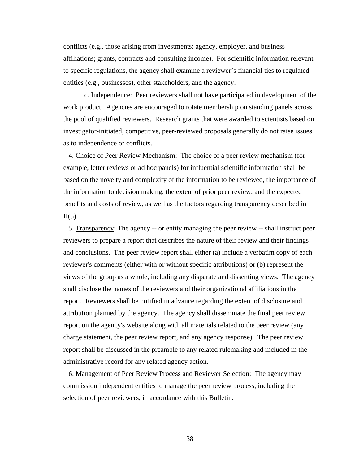conflicts (e.g., those arising from investments; agency, employer, and business affiliations; grants, contracts and consulting income). For scientific information relevant to specific regulations, the agency shall examine a reviewer's financial ties to regulated entities (e.g., businesses), other stakeholders, and the agency.

c. Independence: Peer reviewers shall not have participated in development of the work product. Agencies are encouraged to rotate membership on standing panels across the pool of qualified reviewers. Research grants that were awarded to scientists based on investigator-initiated, competitive, peer-reviewed proposals generally do not raise issues as to independence or conflicts.

 4. Choice of Peer Review Mechanism: The choice of a peer review mechanism (for example, letter reviews or ad hoc panels) for influential scientific information shall be based on the novelty and complexity of the information to be reviewed, the importance of the information to decision making, the extent of prior peer review, and the expected benefits and costs of review, as well as the factors regarding transparency described in  $II(5)$ .

 5. Transparency: The agency -- or entity managing the peer review -- shall instruct peer reviewers to prepare a report that describes the nature of their review and their findings and conclusions. The peer review report shall either (a) include a verbatim copy of each reviewer's comments (either with or without specific attributions) or (b) represent the views of the group as a whole, including any disparate and dissenting views. The agency shall disclose the names of the reviewers and their organizational affiliations in the report. Reviewers shall be notified in advance regarding the extent of disclosure and attribution planned by the agency. The agency shall disseminate the final peer review report on the agency's website along with all materials related to the peer review (any charge statement, the peer review report, and any agency response). The peer review report shall be discussed in the preamble to any related rulemaking and included in the administrative record for any related agency action.

 6. Management of Peer Review Process and Reviewer Selection: The agency may commission independent entities to manage the peer review process, including the selection of peer reviewers, in accordance with this Bulletin.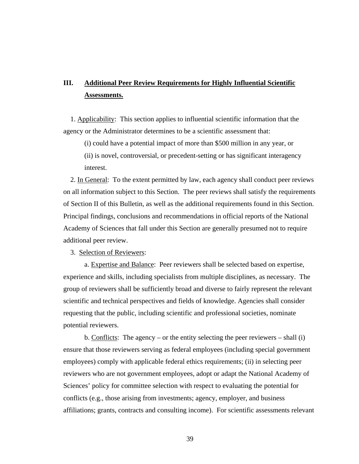# **III. Additional Peer Review Requirements for Highly Influential Scientific Assessments.**

 1. Applicability: This section applies to influential scientific information that the agency or the Administrator determines to be a scientific assessment that:

(i) could have a potential impact of more than \$500 million in any year, or

(ii) is novel, controversial, or precedent-setting or has significant interagency interest.

 2. In General: To the extent permitted by law, each agency shall conduct peer reviews on all information subject to this Section. The peer reviews shall satisfy the requirements of Section II of this Bulletin, as well as the additional requirements found in this Section. Principal findings, conclusions and recommendations in official reports of the National Academy of Sciences that fall under this Section are generally presumed not to require additional peer review.

3. Selection of Reviewers:

a. Expertise and Balance: Peer reviewers shall be selected based on expertise, experience and skills, including specialists from multiple disciplines, as necessary. The group of reviewers shall be sufficiently broad and diverse to fairly represent the relevant scientific and technical perspectives and fields of knowledge. Agencies shall consider requesting that the public, including scientific and professional societies, nominate potential reviewers.

b. Conflicts: The agency – or the entity selecting the peer reviewers – shall (i) ensure that those reviewers serving as federal employees (including special government employees) comply with applicable federal ethics requirements; (ii) in selecting peer reviewers who are not government employees, adopt or adapt the National Academy of Sciences' policy for committee selection with respect to evaluating the potential for conflicts (e.g., those arising from investments; agency, employer, and business affiliations; grants, contracts and consulting income). For scientific assessments relevant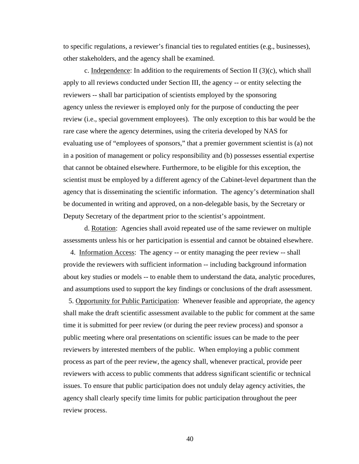to specific regulations, a reviewer's financial ties to regulated entities (e.g., businesses), other stakeholders, and the agency shall be examined.

c. Independence: In addition to the requirements of Section II  $(3)(c)$ , which shall apply to all reviews conducted under Section III, the agency -- or entity selecting the reviewers -- shall bar participation of scientists employed by the sponsoring agency unless the reviewer is employed only for the purpose of conducting the peer review (i.e., special government employees). The only exception to this bar would be the rare case where the agency determines, using the criteria developed by NAS for evaluating use of "employees of sponsors," that a premier government scientist is (a) not in a position of management or policy responsibility and (b) possesses essential expertise that cannot be obtained elsewhere. Furthermore, to be eligible for this exception, the scientist must be employed by a different agency of the Cabinet-level department than the agency that is disseminating the scientific information. The agency's determination shall be documented in writing and approved, on a non-delegable basis, by the Secretary or Deputy Secretary of the department prior to the scientist's appointment.

d. Rotation: Agencies shall avoid repeated use of the same reviewer on multiple assessments unless his or her participation is essential and cannot be obtained elsewhere.

 4. Information Access: The agency -- or entity managing the peer review -- shall provide the reviewers with sufficient information -- including background information about key studies or models -- to enable them to understand the data, analytic procedures, and assumptions used to support the key findings or conclusions of the draft assessment.

 5. Opportunity for Public Participation: Whenever feasible and appropriate, the agency shall make the draft scientific assessment available to the public for comment at the same time it is submitted for peer review (or during the peer review process) and sponsor a public meeting where oral presentations on scientific issues can be made to the peer reviewers by interested members of the public. When employing a public comment process as part of the peer review, the agency shall, whenever practical, provide peer reviewers with access to public comments that address significant scientific or technical issues. To ensure that public participation does not unduly delay agency activities, the agency shall clearly specify time limits for public participation throughout the peer review process.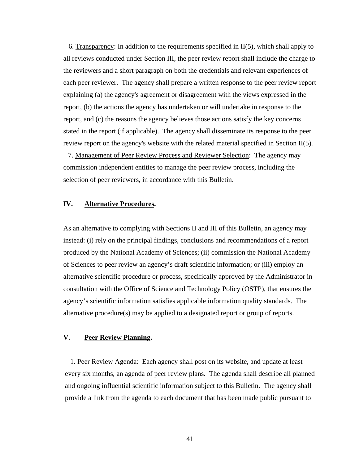6. Transparency: In addition to the requirements specified in  $II(5)$ , which shall apply to all reviews conducted under Section III, the peer review report shall include the charge to the reviewers and a short paragraph on both the credentials and relevant experiences of each peer reviewer. The agency shall prepare a written response to the peer review report explaining (a) the agency's agreement or disagreement with the views expressed in the report, (b) the actions the agency has undertaken or will undertake in response to the report, and (c) the reasons the agency believes those actions satisfy the key concerns stated in the report (if applicable). The agency shall disseminate its response to the peer review report on the agency's website with the related material specified in Section II(5).

 7. Management of Peer Review Process and Reviewer Selection: The agency may commission independent entities to manage the peer review process, including the selection of peer reviewers, in accordance with this Bulletin.

# **IV. Alternative Procedures.**

As an alternative to complying with Sections II and III of this Bulletin, an agency may instead: (i) rely on the principal findings, conclusions and recommendations of a report produced by the National Academy of Sciences; (ii) commission the National Academy of Sciences to peer review an agency's draft scientific information; or (iii) employ an alternative scientific procedure or process, specifically approved by the Administrator in consultation with the Office of Science and Technology Policy (OSTP), that ensures the agency's scientific information satisfies applicable information quality standards. The alternative procedure(s) may be applied to a designated report or group of reports.

# **V. Peer Review Planning.**

 1. Peer Review Agenda: Each agency shall post on its website, and update at least every six months, an agenda of peer review plans. The agenda shall describe all planned and ongoing influential scientific information subject to this Bulletin. The agency shall provide a link from the agenda to each document that has been made public pursuant to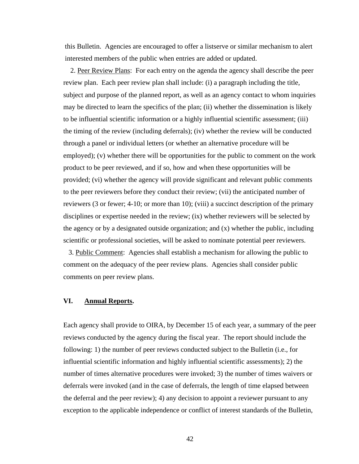this Bulletin. Agencies are encouraged to offer a listserve or similar mechanism to alert interested members of the public when entries are added or updated.

2. Peer Review Plans: For each entry on the agenda the agency shall describe the peer review plan. Each peer review plan shall include: (i) a paragraph including the title, subject and purpose of the planned report, as well as an agency contact to whom inquiries may be directed to learn the specifics of the plan; (ii) whether the dissemination is likely to be influential scientific information or a highly influential scientific assessment; (iii) the timing of the review (including deferrals); (iv) whether the review will be conducted through a panel or individual letters (or whether an alternative procedure will be employed); (v) whether there will be opportunities for the public to comment on the work product to be peer reviewed, and if so, how and when these opportunities will be provided; (vi) whether the agency will provide significant and relevant public comments to the peer reviewers before they conduct their review; (vii) the anticipated number of reviewers (3 or fewer; 4-10; or more than 10); (viii) a succinct description of the primary disciplines or expertise needed in the review; (ix) whether reviewers will be selected by the agency or by a designated outside organization; and (x) whether the public, including scientific or professional societies, will be asked to nominate potential peer reviewers.

 3. Public Comment: Agencies shall establish a mechanism for allowing the public to comment on the adequacy of the peer review plans. Agencies shall consider public comments on peer review plans.

# **VI. Annual Reports.**

Each agency shall provide to OIRA, by December 15 of each year, a summary of the peer reviews conducted by the agency during the fiscal year. The report should include the following: 1) the number of peer reviews conducted subject to the Bulletin (i.e., for influential scientific information and highly influential scientific assessments); 2) the number of times alternative procedures were invoked; 3) the number of times waivers or deferrals were invoked (and in the case of deferrals, the length of time elapsed between the deferral and the peer review); 4) any decision to appoint a reviewer pursuant to any exception to the applicable independence or conflict of interest standards of the Bulletin,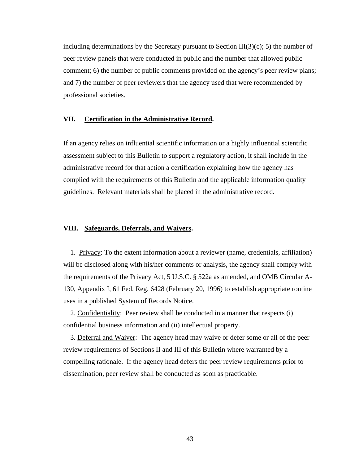including determinations by the Secretary pursuant to Section  $III(3)(c)$ ; 5) the number of peer review panels that were conducted in public and the number that allowed public comment; 6) the number of public comments provided on the agency's peer review plans; and 7) the number of peer reviewers that the agency used that were recommended by professional societies.

## **VII. Certification in the Administrative Record.**

If an agency relies on influential scientific information or a highly influential scientific assessment subject to this Bulletin to support a regulatory action, it shall include in the administrative record for that action a certification explaining how the agency has complied with the requirements of this Bulletin and the applicable information quality guidelines. Relevant materials shall be placed in the administrative record.

#### **VIII. Safeguards, Deferrals, and Waivers.**

 1. Privacy: To the extent information about a reviewer (name, credentials, affiliation) will be disclosed along with his/her comments or analysis, the agency shall comply with the requirements of the Privacy Act, 5 U.S.C. § 522a as amended, and OMB Circular A-130, Appendix I, 61 Fed. Reg. 6428 (February 20, 1996) to establish appropriate routine uses in a published System of Records Notice.

 2. Confidentiality: Peer review shall be conducted in a manner that respects (i) confidential business information and (ii) intellectual property.

 3. Deferral and Waiver: The agency head may waive or defer some or all of the peer review requirements of Sections II and III of this Bulletin where warranted by a compelling rationale. If the agency head defers the peer review requirements prior to dissemination, peer review shall be conducted as soon as practicable.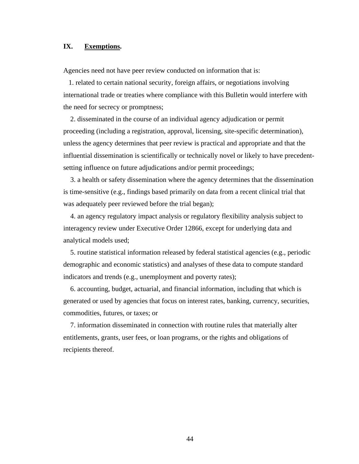# **IX. Exemptions.**

Agencies need not have peer review conducted on information that is:

 1. related to certain national security, foreign affairs, or negotiations involving international trade or treaties where compliance with this Bulletin would interfere with the need for secrecy or promptness;

 2. disseminated in the course of an individual agency adjudication or permit proceeding (including a registration, approval, licensing, site-specific determination), unless the agency determines that peer review is practical and appropriate and that the influential dissemination is scientifically or technically novel or likely to have precedentsetting influence on future adjudications and/or permit proceedings;

 3. a health or safety dissemination where the agency determines that the dissemination is time-sensitive (e.g., findings based primarily on data from a recent clinical trial that was adequately peer reviewed before the trial began);

 4. an agency regulatory impact analysis or regulatory flexibility analysis subject to interagency review under Executive Order 12866, except for underlying data and analytical models used;

 5. routine statistical information released by federal statistical agencies (e.g., periodic demographic and economic statistics) and analyses of these data to compute standard indicators and trends (e.g., unemployment and poverty rates);

 6. accounting, budget, actuarial, and financial information, including that which is generated or used by agencies that focus on interest rates, banking, currency, securities, commodities, futures, or taxes; or

 7. information disseminated in connection with routine rules that materially alter entitlements, grants, user fees, or loan programs, or the rights and obligations of recipients thereof.